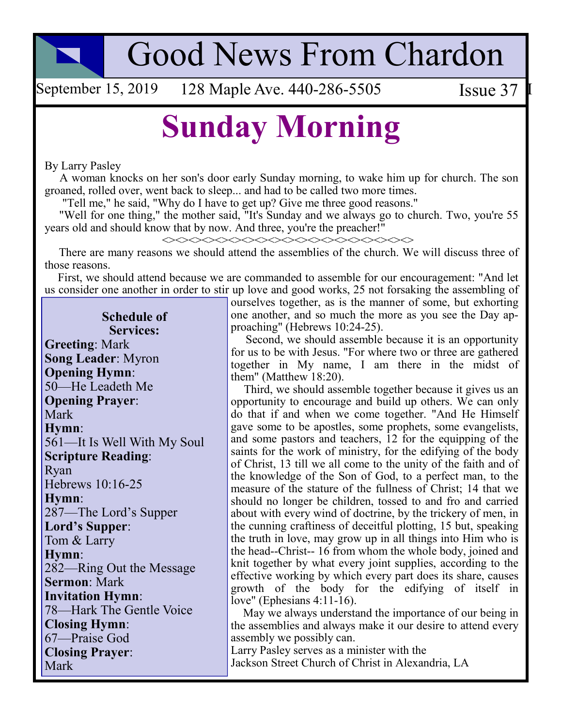**Good News From Chardon** 

September 15, 2019 128 Maple Ave. 440-286-5505 Issue 37

## **Sunday Morning**

By Larry Pasley

A woman knocks on her son's door early Sunday morning, to wake him up for church. The son groaned, rolled over, went back to sleep... and had to be called two more times.

"Tell me," he said, "Why do I have to get up? Give me three good reasons."

"Well for one thing," the mother said, "It's Sunday and we always go to church. Two, you're 55 years old and should know that by now. And three, you're the preacher!"

 $\begin{picture}(150,10) \put(0,0){\line(1,0){15}} \put(0,0){\line(1,0){15}} \put(0,0){\line(1,0){15}} \put(0,0){\line(1,0){15}} \put(0,0){\line(1,0){15}} \put(0,0){\line(1,0){15}} \put(0,0){\line(1,0){15}} \put(0,0){\line(1,0){15}} \put(0,0){\line(1,0){15}} \put(0,0){\line(1,0){15}} \put(0,0){\line(1,0){15}} \put(0,0){\line(1,0){15}} \put(0$ 

There are many reasons we should attend the assemblies of the church. We will discuss three of those reasons.

First, we should attend because we are commanded to assemble for our encouragement: "And let us consider one another in order to stir up love and good works, 25 not forsaking the assembling of

**Schedule of Services: Greeting: Mark Song Leader: Myron Opening Hymn:** 50-He Leadeth Me **Opening Prayer:** Mark Hymn: 561-It Is Well With My Soul **Scripture Reading:** Rvan Hebrews 10:16-25 Hymn: 287—The Lord's Supper Lord's Supper: Tom & Larry Hymn: 282—Ring Out the Message **Sermon: Mark Invitation Hymn:** 78-Hark The Gentle Voice **Closing Hymn:** 67-Praise God **Closing Prayer:** Mark

ourselves together, as is the manner of some, but exhorting one another, and so much the more as you see the Day approaching" (Hebrews 10:24-25).

Second, we should assemble because it is an opportunity for us to be with Jesus. "For where two or three are gathered together in My name, I am there in the midst of them" (Matthew  $18:20$ ).

Third, we should assemble together because it gives us an opportunity to encourage and build up others. We can only do that if and when we come together. "And He Himself gave some to be apostles, some prophets, some evangelists, and some pastors and teachers, 12 for the equipping of the saints for the work of ministry, for the edifying of the body of Christ, 13 till we all come to the unity of the faith and of the knowledge of the Son of God, to a perfect man, to the measure of the stature of the fullness of Christ; 14 that we should no longer be children, tossed to and fro and carried about with every wind of doctrine, by the trickery of men, in the cunning craftiness of deceitful plotting, 15 but, speaking the truth in love, may grow up in all things into Him who is the head--Christ--16 from whom the whole body, joined and knit together by what every joint supplies, according to the effective working by which every part does its share, causes growth of the body for the edifying of itself in love" (Ephesians  $4:11-16$ ).

May we always understand the importance of our being in the assemblies and always make it our desire to attend every assembly we possibly can.

Larry Pasley serves as a minister with the Jackson Street Church of Christ in Alexandria, LA